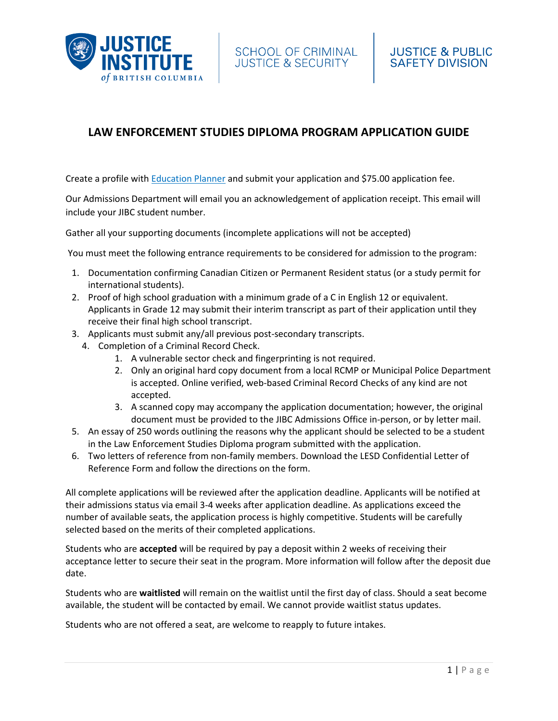

# **LAW ENFORCEMENT STUDIES DIPLOMA PROGRAM APPLICATION GUIDE**

Create a profile with [Education Planner](https://www.educationplannerbc.ca/) and submit your application and \$75.00 application fee.

Our Admissions Department will email you an acknowledgement of application receipt. This email will include your JIBC student number.

Gather all your supporting documents (incomplete applications will not be accepted)

You must meet the following entrance requirements to be considered for admission to the program:

- 1. Documentation confirming Canadian Citizen or Permanent Resident status (or a study permit for international students).
- 2. Proof of high school graduation with a minimum grade of a C in English 12 or [equivalent.](http://www.jibc.ca/procedure/3201-001#english) Applicants in Grade 12 may submit their interim transcript as part of their application until they receive their final high school transcript.
- 3. Applicants must submit any/all previous post-secondary transcripts.
	- 4. Completion of a Criminal Record Check.
		- 1. A vulnerable sector check and fingerprinting is not required.
		- 2. Only an original hard copy document from a local RCMP or Municipal Police Department is accepted. Online verified, web-based Criminal Record Checks of any kind are not accepted.
		- 3. A scanned copy may accompany the application documentation; however, the original document must be provided to the JIBC Admissions Office in-person, or by letter mail.
- 5. An essay of 250 words outlining the reasons why the applicant should be selected to be a student in the Law Enforcement Studies Diploma program submitted with the application.
- 6. Two letters of reference from non-family members. Download the LESD [Confidential](http://www.jibc.ca/sites/default/files/justice_public_safety/pdf/LESD-Confidential-Letter-of-Reference-Form.pdf) Letter of [Reference](http://www.jibc.ca/sites/default/files/justice_public_safety/pdf/LESD-Confidential-Letter-of-Reference-Form.pdf) Form and follow the directions on the form.

All complete applications will be reviewed after the application deadline. Applicants will be notified at their admissions status via email 3-4 weeks after application deadline. As applications exceed the number of available seats, the application process is highly competitive. Students will be carefully selected based on the merits of their completed applications.

Students who are **accepted** will be required by pay a deposit within 2 weeks of receiving their acceptance letter to secure their seat in the program. More information will follow after the deposit due date.

Students who are **waitlisted** will remain on the waitlist until the first day of class. Should a seat become available, the student will be contacted by email. We cannot provide waitlist status updates.

Students who are not offered a seat, are welcome to reapply to future intakes.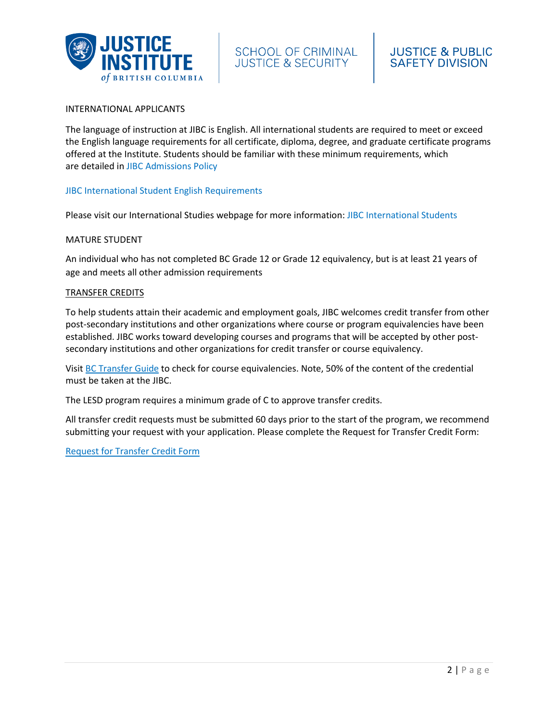

#### INTERNATIONAL APPLICANTS

The language of instruction at JIBC is English. All international students are required to meet or exceed the English language requirements for all certificate, diploma, degree, and graduate certificate programs offered at the Institute. Students should be familiar with these minimum requirements, which are detailed in [JIBC Admissions Policy](http://www.jibc.ca/procedure/3201-001#page=6)

## [JIBC International Student English Requirements](https://www.jibc.ca/international-studies/english-requirements)

Please visit our International Studies webpage for more information: [JIBC International Students](http://www.jibc.ca/student-services/international-studies)

#### MATURE STUDENT

An individual who has not completed BC Grade 12 or Grade 12 equivalency, but is at least 21 years of age and meets all other admission requirements

#### TRANSFER CREDITS

To help students attain their academic and employment goals, JIBC welcomes credit transfer from other post-secondary institutions and other organizations where course or program equivalencies have been established. JIBC works toward developing courses and programs that will be accepted by other postsecondary institutions and other organizations for credit transfer or course equivalency.

Visit [BC Transfer Guide](https://www.bctransferguide.ca/) to check for course equivalencies. Note, 50% of the content of the credential must be taken at the JIBC.

The LESD program requires a minimum grade of C to approve transfer credits.

All transfer credit requests must be submitted 60 days prior to the start of the program, we recommend submitting your request with your application. Please complete the Request for Transfer Credit Form:

[Request for Transfer Credit Form](https://www.jibc.ca/sites/default/files/2021-09/StudentServices-TransferCreditForm-2021ver.pdf)